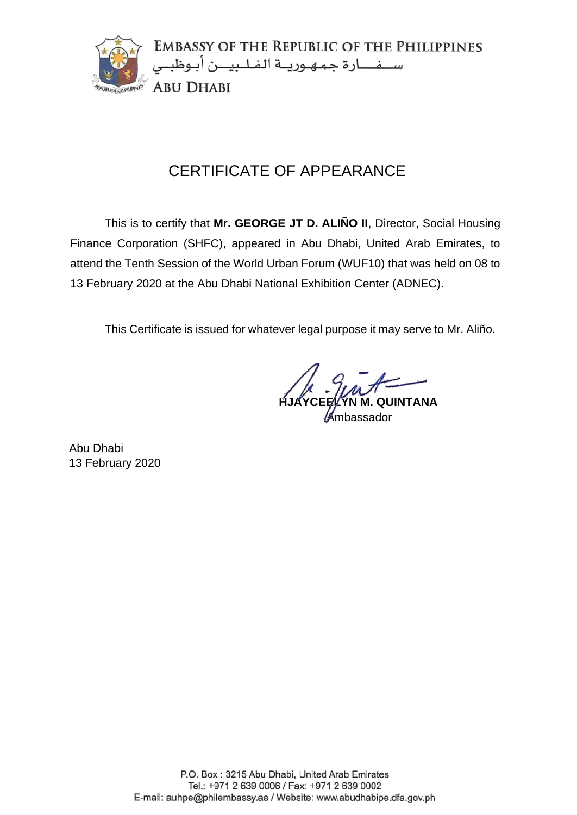

This is to certify that **Mr. GEORGE JT D. ALIÑO II**, Director, Social Housing Finance Corporation (SHFC), appeared in Abu Dhabi, United Arab Emirates, to attend the Tenth Session of the World Urban Forum (WUF10) that was held on 08 to 13 February 2020 at the Abu Dhabi National Exhibition Center (ADNEC).

This Certificate is issued for whatever legal purpose it may serve to Mr. Aliño.

**QUINTANA** 

**Ambassador**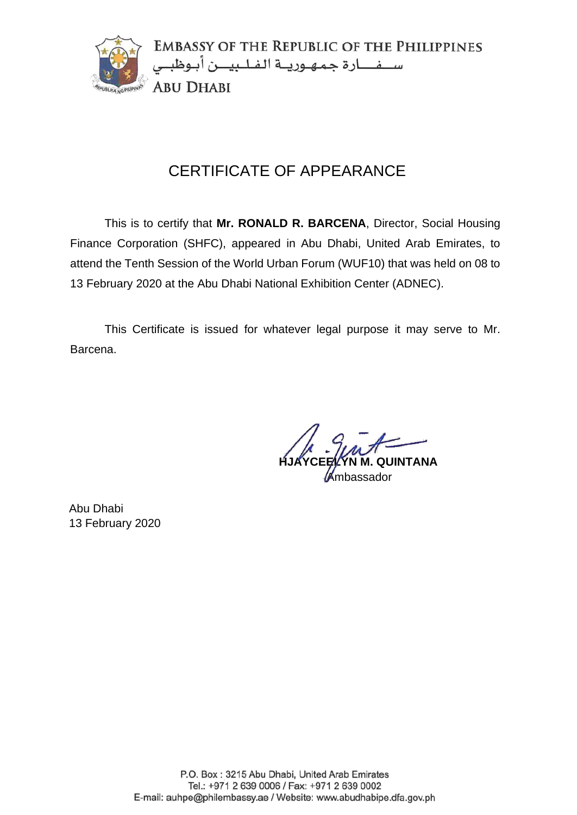

This is to certify that **Mr. RONALD R. BARCENA**, Director, Social Housing Finance Corporation (SHFC), appeared in Abu Dhabi, United Arab Emirates, to attend the Tenth Session of the World Urban Forum (WUF10) that was held on 08 to 13 February 2020 at the Abu Dhabi National Exhibition Center (ADNEC).

This Certificate is issued for whatever legal purpose it may serve to Mr. Barcena.

**HJAYCEELYN M. QUINTANA Ambassador**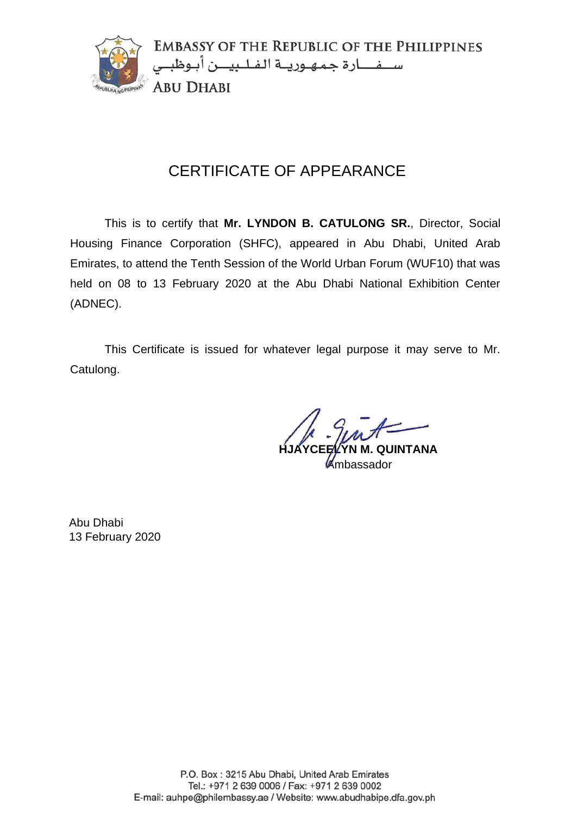

This is to certify that **Mr. LYNDON B. CATULONG SR.**, Director, Social Housing Finance Corporation (SHFC), appeared in Abu Dhabi, United Arab Emirates, to attend the Tenth Session of the World Urban Forum (WUF10) that was held on 08 to 13 February 2020 at the Abu Dhabi National Exhibition Center (ADNEC).

This Certificate is issued for whatever legal purpose it may serve to Mr. Catulong.

**M. QUINTANA** 

Ambassador